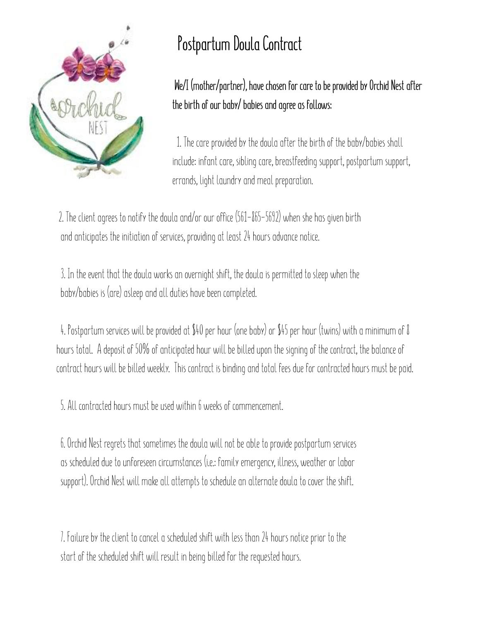

**We/I (mother/partner), have chosen for care to be provided by Orchid Nest after the birth of our baby/ babies and agree as follows:** 

 1. The care provided by the doula after the birth of the baby/babies shall include: infant care, sibling care, breastfeeding support, postpartum support, errands, light laundry and meal preparation.

 2. The client agrees to notify the doula and/or our office (561-865-5692) when she has given birth and anticipates the initiation of services, providing at least 24 hours advance notice.

 3. In the event that the doula works an overnight shift, the doula is permitted to sleep when the baby/babies is (are) asleep and all duties have been completed.

 4. Postpartum services will be provided at \$40 per hour (one baby) or \$45 per hour (twins) with a minimum of 8 hours total. A deposit of 50% of anticipated hour will be billed upon the signing of the contract, the balance of contract hours will be billed weekly. This contract is binding and total fees due for contracted hours must be paid.

5. All contracted hours must be used within 6 weeks of commencement.

 6. Orchid Nest regrets that sometimes the doula will not be able to provide postpartum services as scheduled due to unforeseen circumstances (i.e.: family emergency, illness, weather or labor support). Orchid Nest will make all attempts to schedule an alternate doula to cover the shift.

 7. Failure by the client to cancel a scheduled shift with less than 24 hours notice prior to the start of the scheduled shift will result in being billed for the requested hours.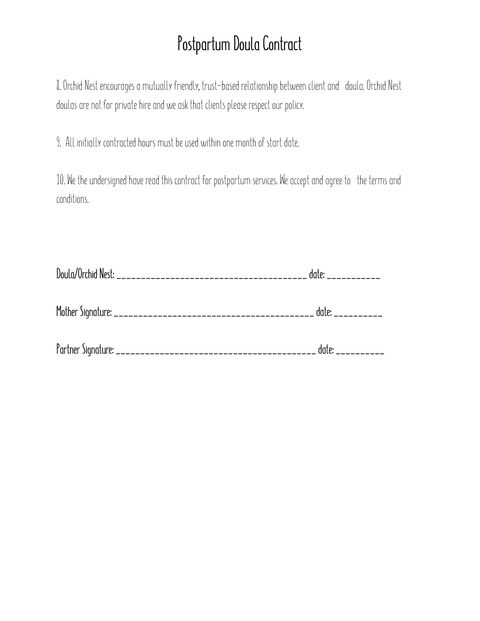8. Orchid Nest encourages a mutually friendly, trust-based relationship between client and doula. Orchid Nest doulas are not for private hire and we ask that clients please respect our policy.

9. All initially contracted hours must be used within one month of start date.

10. We the undersigned have read this contract for postpartum services. We accept and agree to the terms and conditions.

| date: ___________ |
|-------------------|
| date: __________  |
| date:<br>$------$ |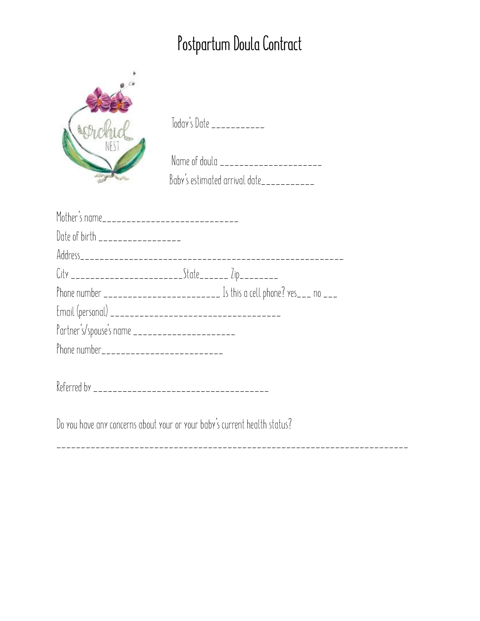| rVni        |  |
|-------------|--|
| <b>NEST</b> |  |
|             |  |
|             |  |
|             |  |

Today's Date \_\_\_\_\_\_\_\_\_\_\_

| Name of doula                 |
|-------------------------------|
| Baby's estimated arrival date |

| Date of birth __________________                         |                                                                            |  |
|----------------------------------------------------------|----------------------------------------------------------------------------|--|
|                                                          |                                                                            |  |
| City __________________________State_______ Zip_________ |                                                                            |  |
|                                                          | Phone number _________________________ Is this a cell phone? yes___ no ___ |  |
|                                                          |                                                                            |  |
|                                                          |                                                                            |  |
|                                                          |                                                                            |  |
|                                                          |                                                                            |  |
|                                                          |                                                                            |  |

Referred by \_\_\_\_\_\_\_\_\_\_\_\_\_\_\_\_\_\_\_\_\_\_\_\_\_\_\_\_\_\_\_\_\_\_\_\_

Do you have any concerns about your or your baby's current health status?

\_\_\_\_\_\_\_\_\_\_\_\_\_\_\_\_\_\_\_\_\_\_\_\_\_\_\_\_\_\_\_\_\_\_\_\_\_\_\_\_\_\_\_\_\_\_\_\_\_\_\_\_\_\_\_\_\_\_\_\_\_\_\_\_\_\_\_\_\_\_\_\_